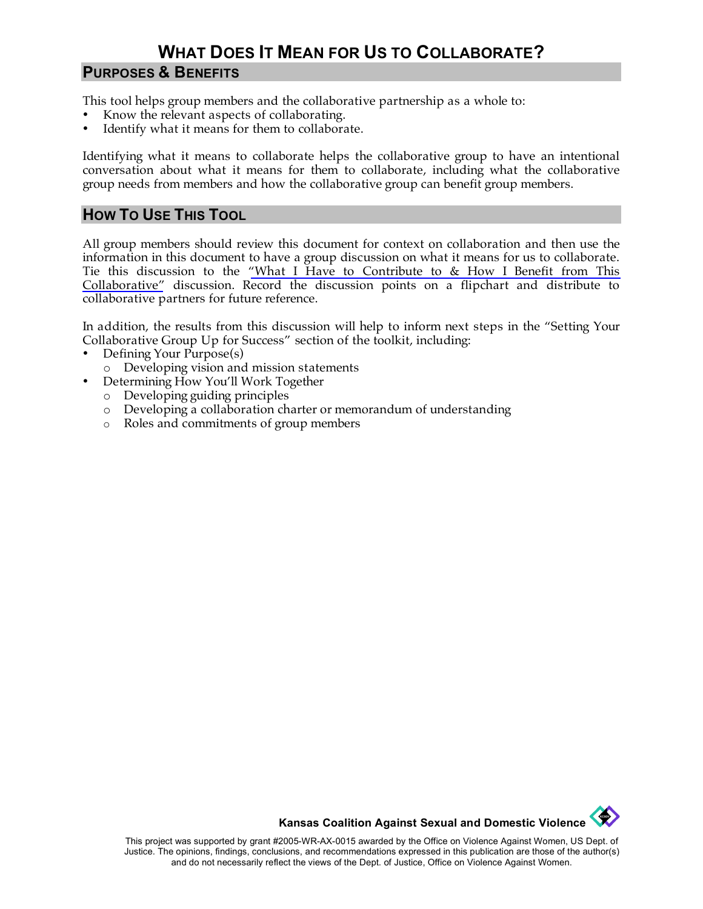# **WHAT DOES IT MEAN FOR US TO COLLABORATE?**

#### **PURPOSES & BENEFITS**

This tool helps group members and the collaborative partnership as a whole to:

- Know the relevant aspects of collaborating.
- Identify what it means for them to collaborate.

Identifying what it means to collaborate helps the collaborative group to have an intentional conversation about what it means for them to collaborate, including what the collaborative group needs from members and how the collaborative group can benefit group members.

#### **HOW TO USE THIS TOOL**

All group members should review this document for context on collaboration and then use the information in this document to have a group discussion on what it means for us to collaborate. Tie this discussion to the ["What I Have to Contribute to & How I Benefit from This](http://www.kcsdv.org/toolkit/commorgtoolkit.html#ContributeandBenefit)  [Collaborative"](http://www.kcsdv.org/toolkit/commorgtoolkit.html#ContributeandBenefit) discussion. Record the discussion points on a flipchart and distribute to collaborative partners for future reference.

In addition, the results from this discussion will help to inform next steps in the "Setting Your Collaborative Group Up for Success" section of the toolkit, including:

- Defining Your Purpose(s)
	- o Developing vision and mission statements
- Determining How You'll Work Together
	- o Developing guiding principles
	- o Developing a collaboration charter or memorandum of understanding
	- o Roles and commitments of group members



This project was supported by grant #2005-WR-AX-0015 awarded by the Office on Violence Against Women, US Dept. of Justice. The opinions, findings, conclusions, and recommendations expressed in this publication are those of the author(s) and do not necessarily reflect the views of the Dept. of Justice, Office on Violence Against Women.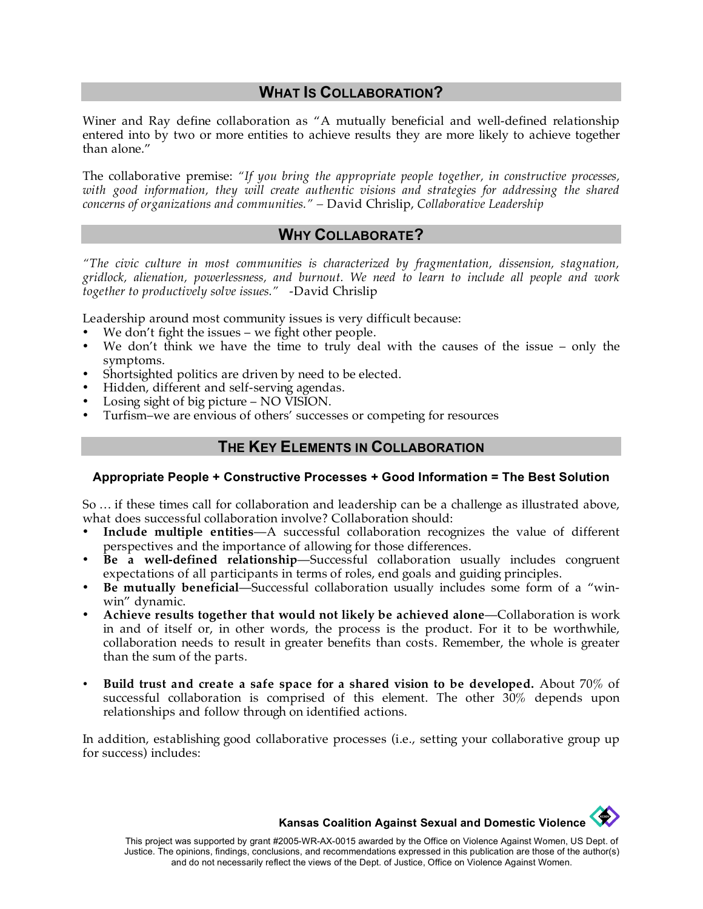#### **WHAT IS COLLABORATION?**

Winer and Ray define collaboration as "A mutually beneficial and well-defined relationship entered into by two or more entities to achieve results they are more likely to achieve together than alone."

The collaborative premise: *"If you bring the appropriate people together, in constructive processes,*  with good information, they will create authentic visions and strategies for addressing the shared *concerns of organizations and communities." –* David Chrislip, *Collaborative Leadership*

#### **WHY COLLABORATE?**

*"The civic culture in most communities is characterized by fragmentation, dissension, stagnation, gridlock, alienation, powerlessness, and burnout. We need to learn to include all people and work together to productively solve issues."* -David Chrislip

Leadership around most community issues is very difficult because:

- We don't fight the issues we fight other people.
- We don't think we have the time to truly deal with the causes of the issue only the symptoms.
- Shortsighted politics are driven by need to be elected.
- Hidden, different and self-serving agendas.
- Losing sight of big picture NO VISION.
- Turfism–we are envious of others' successes or competing for resources

#### **THE KEY ELEMENTS IN COLLABORATION**

#### **Appropriate People + Constructive Processes + Good Information = The Best Solution**

So … if these times call for collaboration and leadership can be a challenge as illustrated above, what does successful collaboration involve? Collaboration should:

- **Include multiple entities**—A successful collaboration recognizes the value of different perspectives and the importance of allowing for those differences.
- **Be a well-defined relationship**—Successful collaboration usually includes congruent expectations of all participants in terms of roles, end goals and guiding principles.
- **Be mutually beneficial**—Successful collaboration usually includes some form of a "winwin" dynamic.
- **Achieve results together that would not likely be achieved alone**—Collaboration is work in and of itself or, in other words, the process is the product. For it to be worthwhile, collaboration needs to result in greater benefits than costs. Remember, the whole is greater than the sum of the parts.
- **Build trust and create a safe space for a shared vision to be developed.** About 70% of successful collaboration is comprised of this element. The other 30% depends upon relationships and follow through on identified actions.

In addition, establishing good collaborative processes (i.e., setting your collaborative group up for success) includes:

**Kansas Coalition Against Sexual and Domestic Violence**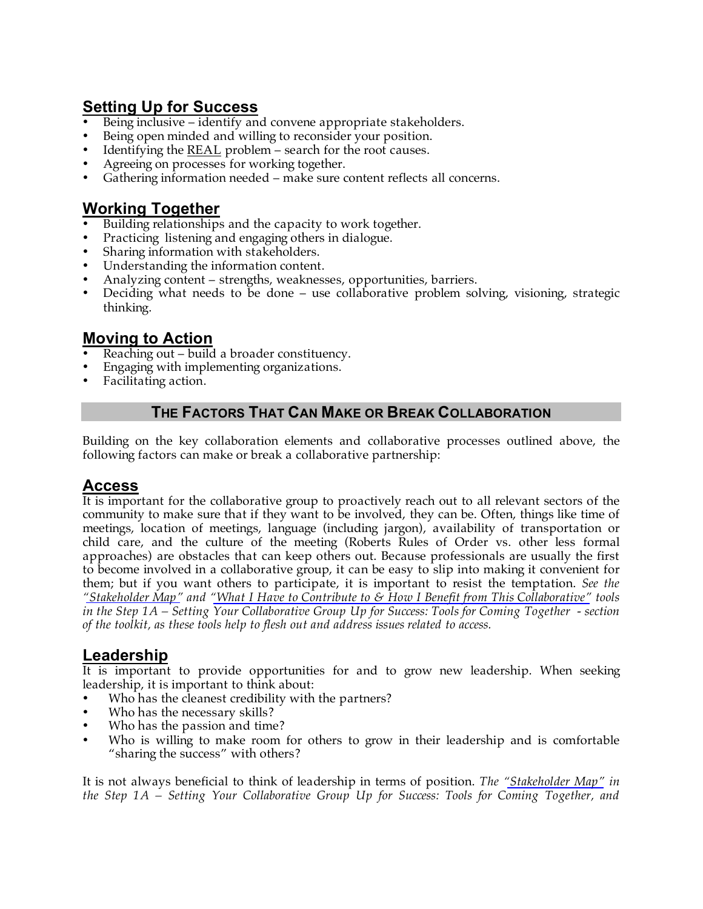# **Setting Up for Success**

- Being inclusive identify and convene appropriate stakeholders.
- Being open minded and willing to reconsider your position.
- Identifying the REAL problem search for the root causes.
- Agreeing on processes for working together.
- Gathering information needed make sure content reflects all concerns.

## **Working Together**

- Building relationships and the capacity to work together.
- Practicing listening and engaging others in dialogue.
- Sharing information with stakeholders.
- Understanding the information content.
- Analyzing content strengths, weaknesses, opportunities, barriers.
- Deciding what needs to be done use collaborative problem solving, visioning, strategic thinking.

# **Moving to Action**

- Reaching out build a broader constituency.
- Engaging with implementing organizations.
- Facilitating action.

## **THE FACTORS THAT CAN MAKE OR BREAK COLLABORATION**

Building on the key collaboration elements and collaborative processes outlined above, the following factors can make or break a collaborative partnership:

## **Access**

It is important for the collaborative group to proactively reach out to all relevant sectors of the community to make sure that if they want to be involved, they can be. Often, things like time of meetings, location of meetings, language (including jargon), availability of transportation or child care, and the culture of the meeting (Roberts Rules of Order vs. other less formal approaches) are obstacles that can keep others out. Because professionals are usually the first to become involved in a collaborative group, it can be easy to slip into making it convenient for them; but if you want others to participate, it is important to resist the temptation. *See the ["Stakeholder Map"](http://www.kcsdv.org/toolkit/commorgtoolkit.html#StakeholderMap) and ["What I Have to Contribute to & How I Benefit from This Collaborative"](http://www.kcsdv.org/toolkit/commorgtoolkit.html#ContributeandBenefit) tools in the Step 1A – Setting Your Collaborative Group Up for Success: Tools for Coming Together - section of the toolkit, as these tools help to flesh out and address issues related to access.* 

# **Leadership**

It is important to provide opportunities for and to grow new leadership. When seeking leadership, it is important to think about:

- Who has the cleanest credibility with the partners?
- Who has the necessary skills?
- Who has the passion and time?
- Who is willing to make room for others to grow in their leadership and is comfortable "sharing the success" with others?

It is not always beneficial to think of leadership in terms of position. *The ["Stakeholder Map"](http://www.kcsdv.org/toolkit/commorgtoolkit.html#StakeholderMap) in the Step 1A – Setting Your Collaborative Group Up for Success: Tools for Coming Together, and*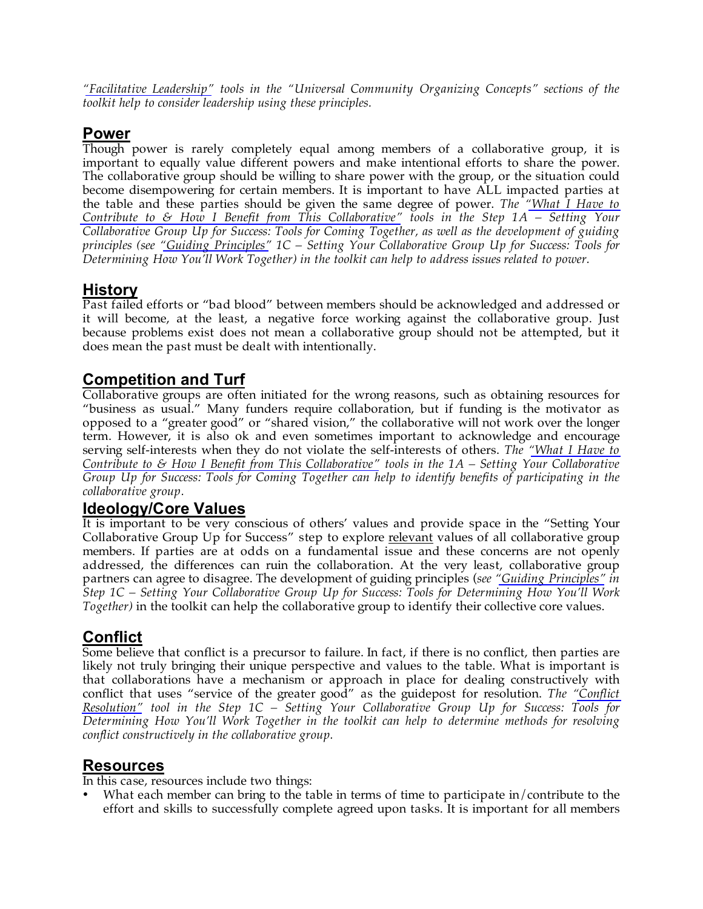*["Facilitative Leadership"](http://www.kcsdv.org/toolkit/commorgtoolkit.html#FacilitativeLeadership) tools in the "Universal Community Organizing Concepts" sections of the toolkit help to consider leadership using these principles.*

### **Power**

Though power is rarely completely equal among members of a collaborative group, it is important to equally value different powers and make intentional efforts to share the power. The collaborative group should be willing to share power with the group, or the situation could become disempowering for certain members. It is important to have ALL impacted parties at the table and these parties should be given the same degree of power. *The ["What I Have to](http://www.kcsdv.org/toolkit/commorgtoolkit.html#ContributeandBenefit)  [Contribute to & How I Benefit from This Collaborative"](http://www.kcsdv.org/toolkit/commorgtoolkit.html#ContributeandBenefit) tools in the Step 1A – Setting Your Collaborative Group Up for Success: Tools for Coming Together, as well as the development of guiding principles (see ["Guiding Principles"](http://www.kcsdv.org/toolkit/commorgtoolkit.html#GuidingPrinciples) 1C – Setting Your Collaborative Group Up for Success: Tools for Determining How You'll Work Together) in the toolkit can help to address issues related to power.* 

## **History**

Past failed efforts or "bad blood" between members should be acknowledged and addressed or it will become, at the least, a negative force working against the collaborative group. Just because problems exist does not mean a collaborative group should not be attempted, but it does mean the past must be dealt with intentionally.

# **Competition and Turf**

Collaborative groups are often initiated for the wrong reasons, such as obtaining resources for "business as usual." Many funders require collaboration, but if funding is the motivator as opposed to a "greater good" or "shared vision," the collaborative will not work over the longer term. However, it is also ok and even sometimes important to acknowledge and encourage serving self-interests when they do not violate the self-interests of others. *The ["What I Have to](http://www.kcsdv.org/toolkit/commorgtoolkit.html#ContributeandBenefit)  [Contribute to & How I Benefit from This Collaborative"](http://www.kcsdv.org/toolkit/commorgtoolkit.html#ContributeandBenefit) tools in the 1A – Setting Your Collaborative Group Up for Success: Tools for Coming Together can help to identify benefits of participating in the collaborative group.*

### **Ideology/Core Values**

It is important to be very conscious of others' values and provide space in the "Setting Your Collaborative Group Up for Success" step to explore relevant values of all collaborative group members. If parties are at odds on a fundamental issue and these concerns are not openly addressed, the differences can ruin the collaboration. At the very least, collaborative group partners can agree to disagree. The development of guiding principles (*see ["Guiding Principles"](http://www.kcsdv.org/toolkit/commorgtoolkit.html#GuidingPrinciples) in Step 1C – Setting Your Collaborative Group Up for Success: Tools for Determining How You'll Work Together)* in the toolkit can help the collaborative group to identify their collective core values.

# **Conflict**

Some believe that conflict is a precursor to failure. In fact, if there is no conflict, then parties are likely not truly bringing their unique perspective and values to the table. What is important is that collaborations have a mechanism or approach in place for dealing constructively with conflict that uses "service of the greater good" as the guidepost for resolution. *The ["Conflict](http://www.kcsdv.org/toolkit/commorgtoolkit.html#ConflictResolution)  [Resolution"](http://www.kcsdv.org/toolkit/commorgtoolkit.html#ConflictResolution) tool in the Step 1C – Setting Your Collaborative Group Up for Success: Tools for Determining How You'll Work Together in the toolkit can help to determine methods for resolving conflict constructively in the collaborative group.*

## **Resources**

In this case, resources include two things:

What each member can bring to the table in terms of time to participate in/contribute to the effort and skills to successfully complete agreed upon tasks. It is important for all members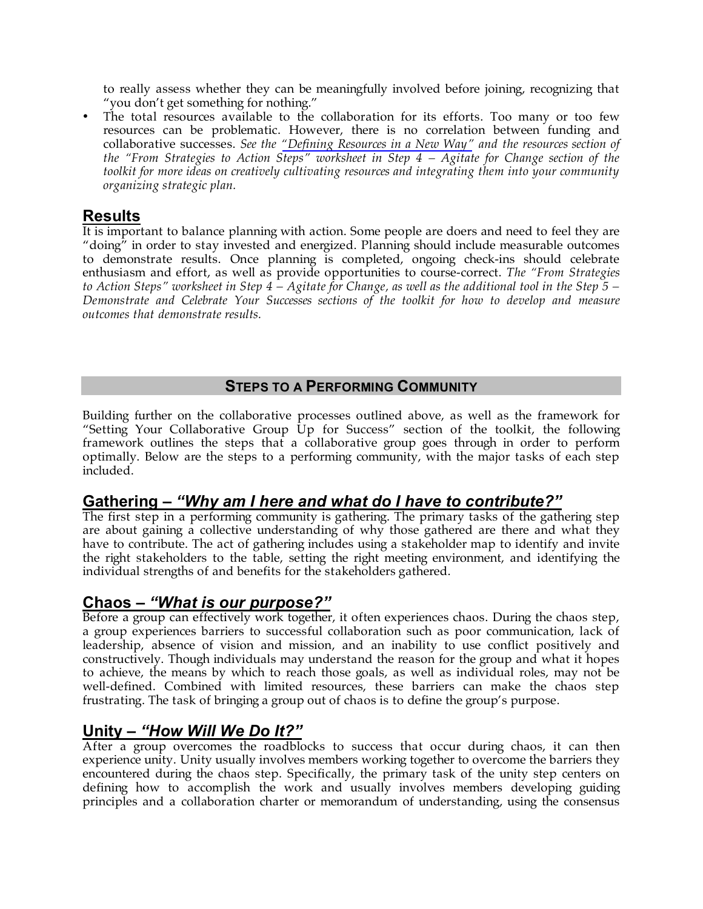to really assess whether they can be meaningfully involved before joining, recognizing that "you don't get something for nothing."

• The total resources available to the collaboration for its efforts. Too many or too few resources can be problematic. However, there is no correlation between funding and collaborative successes. *See the ["Defining Resources in a New Way"](http://www.kcsdv.org/toolkit/commorgtoolkit.html#CultivatingResources) and the resources section of the "From Strategies to Action Steps" worksheet in Step 4 – Agitate for Change section of the toolkit for more ideas on creatively cultivating resources and integrating them into your community organizing strategic plan.* 

## **Results**

It is important to balance planning with action. Some people are doers and need to feel they are "doing" in order to stay invested and energized. Planning should include measurable outcomes to demonstrate results. Once planning is completed, ongoing check-ins should celebrate enthusiasm and effort, as well as provide opportunities to course-correct. *The "From Strategies to Action Steps" worksheet in Step 4 – Agitate for Change, as well as the additional tool in the Step 5 – Demonstrate and Celebrate Your Successes sections of the toolkit for how to develop and measure outcomes that demonstrate results.*

#### **STEPS TO A PERFORMING COMMUNITY**

Building further on the collaborative processes outlined above, as well as the framework for "Setting Your Collaborative Group Up for Success" section of the toolkit, the following framework outlines the steps that a collaborative group goes through in order to perform optimally. Below are the steps to a performing community, with the major tasks of each step included.

# **Gathering –** *"Why am I here and what do I have to contribute?"*

The first step in a performing community is gathering. The primary tasks of the gathering step are about gaining a collective understanding of why those gathered are there and what they have to contribute. The act of gathering includes using a stakeholder map to identify and invite the right stakeholders to the table, setting the right meeting environment, and identifying the individual strengths of and benefits for the stakeholders gathered.

## **Chaos –** *"What is our purpose?"*

Before a group can effectively work together, it often experiences chaos. During the chaos step, a group experiences barriers to successful collaboration such as poor communication, lack of leadership, absence of vision and mission, and an inability to use conflict positively and constructively. Though individuals may understand the reason for the group and what it hopes to achieve, the means by which to reach those goals, as well as individual roles, may not be well-defined. Combined with limited resources, these barriers can make the chaos step frustrating. The task of bringing a group out of chaos is to define the group's purpose.

# **Unity –** *"How Will We Do It?"*

After a group overcomes the roadblocks to success that occur during chaos, it can then experience unity. Unity usually involves members working together to overcome the barriers they encountered during the chaos step. Specifically, the primary task of the unity step centers on defining how to accomplish the work and usually involves members developing guiding principles and a collaboration charter or memorandum of understanding, using the consensus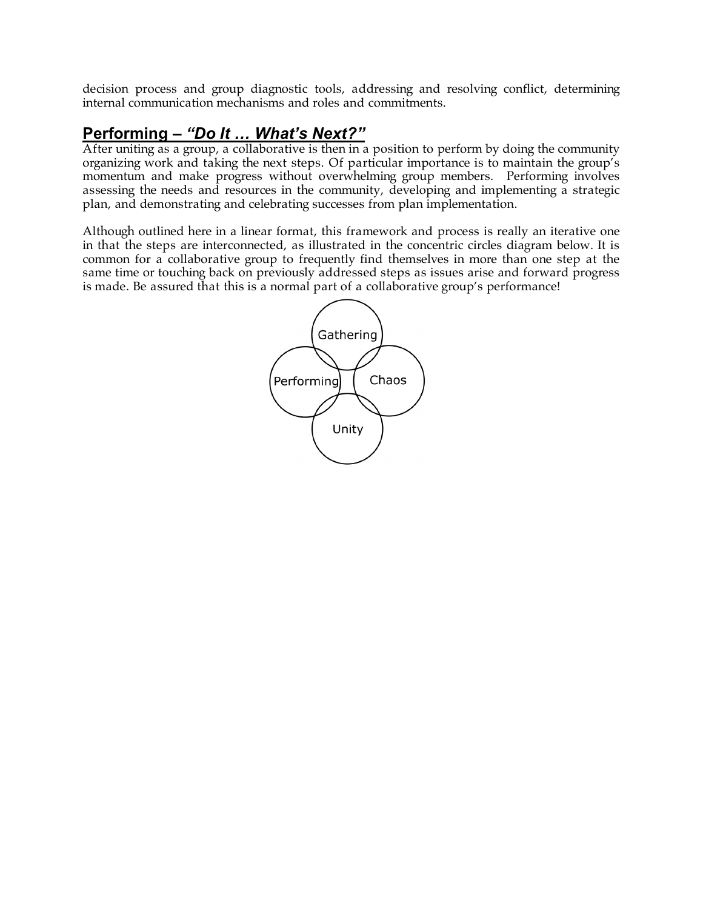decision process and group diagnostic tools, addressing and resolving conflict, determining internal communication mechanisms and roles and commitments.

# **Performing –** *"Do It … What's Next?"*

After uniting as a group, a collaborative is then in a position to perform by doing the community organizing work and taking the next steps. Of particular importance is to maintain the group's momentum and make progress without overwhelming group members. Performing involves assessing the needs and resources in the community, developing and implementing a strategic plan, and demonstrating and celebrating successes from plan implementation.

Although outlined here in a linear format, this framework and process is really an iterative one in that the steps are interconnected, as illustrated in the concentric circles diagram below. It is common for a collaborative group to frequently find themselves in more than one step at the same time or touching back on previously addressed steps as issues arise and forward progress is made. Be assured that this is a normal part of a collaborative group's performance!